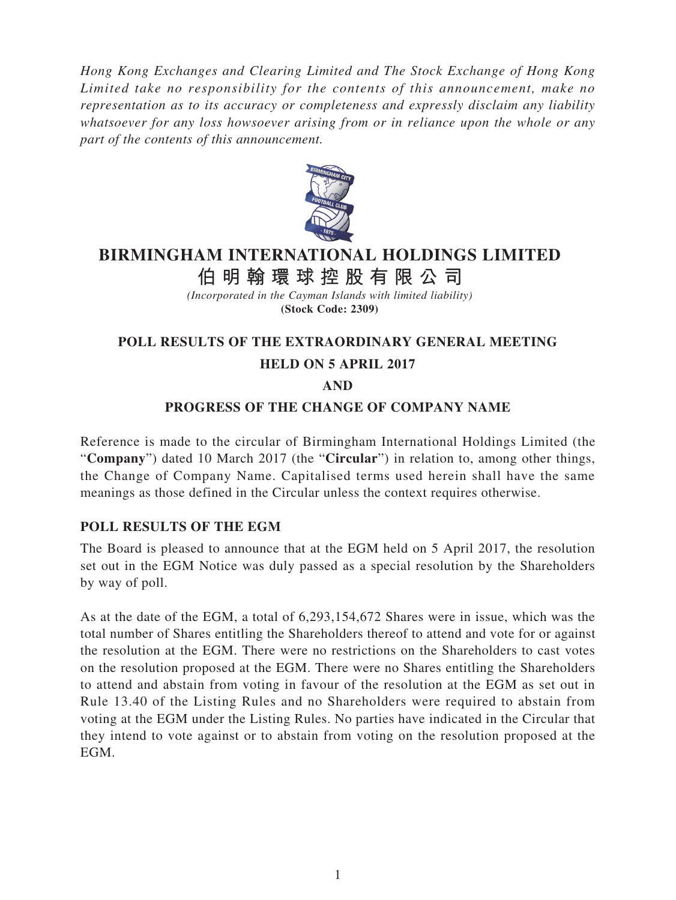*Hong Kong Exchanges and Clearing Limited and The Stock Exchange of Hong Kong Limited take no responsibility for the contents of this announcement, make no representation as to its accuracy or completeness and expressly disclaim any liability whatsoever for any loss howsoever arising from or in reliance upon the whole or any part of the contents of this announcement.*



# **BIRMINGHAM INTERNATIONAL HOLDINGS LIMITED 伯明翰環球控股有限公司**

*(Incorporated in the Cayman Islands with limited liability)* **(Stock Code: 2309)**

## **POLL RESULTS OF THE EXTRAORDINARY GENERAL MEETING**

#### **HELD ON 5 APRIL 2017**

#### **AND**

#### **PROGRESS OF THE CHANGE OF COMPANY NAME**

Reference is made to the circular of Birmingham International Holdings Limited (the "**Company**") dated 10 March 2017 (the "**Circular**") in relation to, among other things, the Change of Company Name. Capitalised terms used herein shall have the same meanings as those defined in the Circular unless the context requires otherwise.

#### **POLL RESULTS OF THE EGM**

The Board is pleased to announce that at the EGM held on 5 April 2017, the resolution set out in the EGM Notice was duly passed as a special resolution by the Shareholders by way of poll.

As at the date of the EGM, a total of 6,293,154,672 Shares were in issue, which was the total number of Shares entitling the Shareholders thereof to attend and vote for or against the resolution at the EGM. There were no restrictions on the Shareholders to cast votes on the resolution proposed at the EGM. There were no Shares entitling the Shareholders to attend and abstain from voting in favour of the resolution at the EGM as set out in Rule 13.40 of the Listing Rules and no Shareholders were required to abstain from voting at the EGM under the Listing Rules. No parties have indicated in the Circular that they intend to vote against or to abstain from voting on the resolution proposed at the EGM.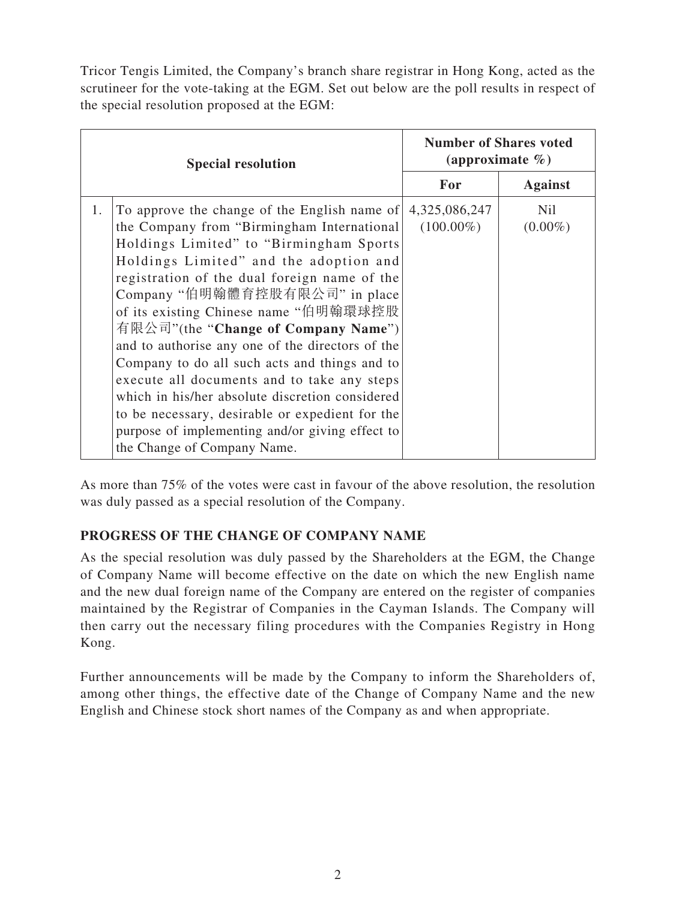Tricor Tengis Limited, the Company's branch share registrar in Hong Kong, acted as the scrutineer for the vote-taking at the EGM. Set out below are the poll results in respect of the special resolution proposed at the EGM:

| <b>Special resolution</b>                                                                                                                                                                                                                                                                                                                                                                                                                                                                                                                                                                                                                                                                            | <b>Number of Shares voted</b><br>(approximate $\%$ ) |                          |
|------------------------------------------------------------------------------------------------------------------------------------------------------------------------------------------------------------------------------------------------------------------------------------------------------------------------------------------------------------------------------------------------------------------------------------------------------------------------------------------------------------------------------------------------------------------------------------------------------------------------------------------------------------------------------------------------------|------------------------------------------------------|--------------------------|
|                                                                                                                                                                                                                                                                                                                                                                                                                                                                                                                                                                                                                                                                                                      | For                                                  | <b>Against</b>           |
| To approve the change of the English name of<br>1.<br>the Company from "Birmingham International"<br>Holdings Limited" to "Birmingham Sports<br>Holdings Limited" and the adoption and<br>registration of the dual foreign name of the<br>Company "伯明翰體育控股有限公司" in place<br>of its existing Chinese name "伯明翰環球控股<br>有限公司"(the "Change of Company Name")<br>and to authorise any one of the directors of the<br>Company to do all such acts and things and to<br>execute all documents and to take any steps<br>which in his/her absolute discretion considered<br>to be necessary, desirable or expedient for the<br>purpose of implementing and/or giving effect to<br>the Change of Company Name. | 4,325,086,247<br>$(100.00\%)$                        | <b>Nil</b><br>$(0.00\%)$ |

As more than 75% of the votes were cast in favour of the above resolution, the resolution was duly passed as a special resolution of the Company.

# **PROGRESS OF THE CHANGE OF COMPANY NAME**

As the special resolution was duly passed by the Shareholders at the EGM, the Change of Company Name will become effective on the date on which the new English name and the new dual foreign name of the Company are entered on the register of companies maintained by the Registrar of Companies in the Cayman Islands. The Company will then carry out the necessary filing procedures with the Companies Registry in Hong Kong.

Further announcements will be made by the Company to inform the Shareholders of, among other things, the effective date of the Change of Company Name and the new English and Chinese stock short names of the Company as and when appropriate.